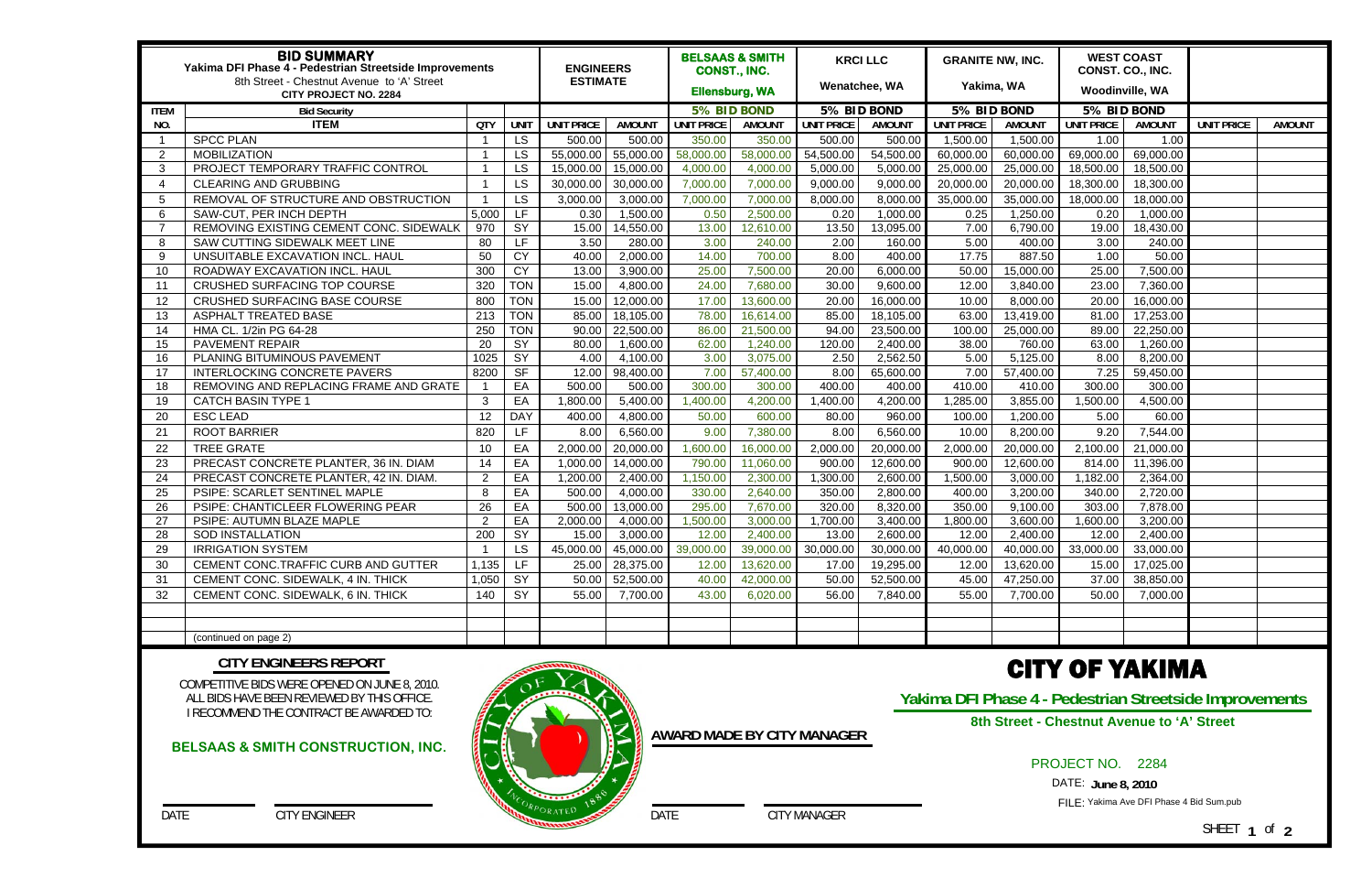| <b>BID SUMMARY</b><br>Yakima DFI Phase 4 - Pedestrian Streetside Improvements<br>8th Street - Chestnut Avenue to 'A' Street<br><b>CITY PROJECT NO. 2284</b> |                                         |                 |                 | <b>ENGINEERS</b><br><b>ESTIMATE</b> |               | <b>BELSAAS &amp; SMITH</b><br>CONST., INC.<br><b>Ellensburg, WA</b> |                                                   | <b>KRCI LLC</b><br>Wenatchee, WA |               | <b>GRANITE NW, INC.</b><br>Yakima, WA |                       | <b>WEST COAST</b><br>CONST. CO., INC.<br><b>Woodinville, WA</b> |               |                   |               |
|-------------------------------------------------------------------------------------------------------------------------------------------------------------|-----------------------------------------|-----------------|-----------------|-------------------------------------|---------------|---------------------------------------------------------------------|---------------------------------------------------|----------------------------------|---------------|---------------------------------------|-----------------------|-----------------------------------------------------------------|---------------|-------------------|---------------|
| <b>ITEM</b><br><b>Bid Security</b>                                                                                                                          |                                         |                 |                 |                                     |               |                                                                     | 5% BID BOND                                       |                                  | 5% BID BOND   |                                       | 5% BID BOND           |                                                                 | 5% BID BOND   |                   |               |
| NO.                                                                                                                                                         | <b>ITEM</b>                             | <b>QTY</b>      | <b>UNIT</b>     | <b>UNIT PRICE</b>                   | <b>AMOUNT</b> | <b>UNIT PRICE</b>                                                   | <b>AMOUNT</b>                                     | <b>UNIT PRICE</b>                | <b>AMOUNT</b> | <b>UNIT PRICE</b>                     | <b>AMOUNT</b>         | UNIT PRICE                                                      | <b>AMOUNT</b> | <b>UNIT PRICE</b> | <b>AMOUNT</b> |
|                                                                                                                                                             | <b>SPCC PLAN</b>                        |                 | <b>LS</b>       | 500.00                              | 500.00        | 350.00                                                              | 350.00                                            | 500.00                           | 500.00        | 1,500.00                              | 1,500.00              | 1.00                                                            | 1.00          |                   |               |
| $\overline{2}$                                                                                                                                              | <b>MOBILIZATION</b>                     |                 | <b>LS</b>       | 55,000.00                           | 55,000.00     | 58,000.00                                                           | 58,000.00                                         | 54,500.00                        | 54,500.00     | 60,000.00                             | 60,000.00             | 69,000.00                                                       | 69,000.00     |                   |               |
| 3                                                                                                                                                           | PROJECT TEMPORARY TRAFFIC CONTROL       |                 | <b>LS</b>       | 15,000.00                           | 15,000.00     | 4,000.00                                                            | 4,000.00                                          | 5,000.00                         | 5,000.00      | 25,000.00                             | 25,000.00             | 18,500.00                                                       | 18,500.00     |                   |               |
| 4                                                                                                                                                           | <b>CLEARING AND GRUBBING</b>            |                 | <b>LS</b>       | 30,000.00                           | 30,000.00     | 7,000.00                                                            | 7,000.00                                          | 9,000.00                         | 9,000.00      | 20,000.00                             | 20,000.00             | 18,300.00                                                       | 18,300.00     |                   |               |
| 5                                                                                                                                                           | REMOVAL OF STRUCTURE AND OBSTRUCTION    |                 | <b>LS</b>       | 3,000.00                            | 3,000.00      | 7,000.00                                                            | 7,000.00                                          | 8,000.00                         | 8,000.00      | 35,000.00                             | 35,000.00             | 18,000.00                                                       | 18,000.00     |                   |               |
| 6                                                                                                                                                           | SAW-CUT, PER INCH DEPTH                 | 5,000           | LF.             | 0.30                                | 1,500.00      | 0.50                                                                | 2,500.00                                          | 0.20                             | 1,000.00      | 0.25                                  | 1,250.00              | 0.20                                                            | 1,000.00      |                   |               |
|                                                                                                                                                             | REMOVING EXISTING CEMENT CONC. SIDEWALK | 970             | SY              | 15.00                               | 14,550.00     | 13.00                                                               | 12,610.00                                         | 13.50                            | 13,095.00     | 7.00                                  | 6,790.00              | 19.00                                                           | 18,430.00     |                   |               |
| -8                                                                                                                                                          | SAW CUTTING SIDEWALK MEET LINE          | 80              | <b>LF</b>       | 3.50                                | 280.00        | 3.00                                                                | 240.00                                            | 2.00                             | 160.00        | 5.00                                  | 400.00                | 3.00                                                            | 240.00        |                   |               |
| - 9                                                                                                                                                         | UNSUITABLE EXCAVATION INCL. HAUL        | 50              | CY              | 40.00                               | 2,000.00      | 14.00                                                               | 700.00                                            | 8.00                             | 400.00        | 17.75                                 | 887.50                | 1.00                                                            | 50.00         |                   |               |
| 10                                                                                                                                                          | ROADWAY EXCAVATION INCL. HAUL           | 300             | CY              | 13.00                               | 3,900.00      | 25.00                                                               | 7,500.00                                          | 20.00                            | 6,000.00      | 50.00                                 | 15,000.00             | 25.00                                                           | 7,500.00      |                   |               |
| 11                                                                                                                                                          | <b>CRUSHED SURFACING TOP COURSE</b>     | 320             | <b>TON</b>      | 15.00                               | 4,800.00      | 24.00                                                               | 7,680.00                                          | 30.00                            | 9,600.00      | 12.00                                 | 3,840.00              | 23.00                                                           | 7,360.00      |                   |               |
| 12                                                                                                                                                          | <b>CRUSHED SURFACING BASE COURSE</b>    | 800             | <b>TON</b>      | 15.00                               | 12,000.00     | 17.00                                                               | 13,600.00                                         | 20.00                            | 16,000.00     | 10.00                                 | 8,000.00              | 20.00                                                           | 16,000.00     |                   |               |
| 13                                                                                                                                                          | <b>ASPHALT TREATED BASE</b>             | 213             | <b>TON</b>      | 85.00                               | 18,105.00     | 78.00                                                               | 16,614.00                                         | 85.00                            | 18,105.00     | 63.00                                 | 13,419.00             | 81.00                                                           | 17,253.00     |                   |               |
| 14                                                                                                                                                          | HMA CL. 1/2in PG 64-28                  | 250             | <b>TON</b>      | 90.00                               | 22,500.00     | 86.00                                                               | 21,500.00                                         | 94.00                            | 23,500.00     | 100.00                                | 25,000.00             | 89.00                                                           | 22,250.00     |                   |               |
| 15                                                                                                                                                          | <b>PAVEMENT REPAIR</b>                  | 20              | SY              | 80.00                               | 1,600.00      | 62.00                                                               | 1,240.00                                          | 120.00                           | 2,400.00      | 38.00                                 | 760.00                | 63.00                                                           | 1,260.00      |                   |               |
| 16                                                                                                                                                          | PLANING BITUMINOUS PAVEMENT             | 1025            | SY              | 4.00                                | 4,100.00      | 3.00                                                                | 3,075.00                                          | 2.50                             | 2,562.50      | 5.00                                  | 5,125.00              | 8.00                                                            | 8,200.00      |                   |               |
| 17                                                                                                                                                          | <b>INTERLOCKING CONCRETE PAVERS</b>     | 8200            | $S$ F           | 12.00                               | 98,400.00     | 7.00                                                                | 57,400.00                                         | 8.00                             | 65,600.00     | 7.00                                  | 57,400.00             | 7.25                                                            | 59,450.00     |                   |               |
| 18                                                                                                                                                          | REMOVING AND REPLACING FRAME AND GRATE  |                 | EA              | 500.00                              | 500.00        | 300.00                                                              | 300.00                                            | 400.00                           | 400.00        | 410.00                                | 410.00                | 300.00                                                          | 300.00        |                   |               |
| 19                                                                                                                                                          | <b>CATCH BASIN TYPE 1</b>               | 3               | EA              | ,800.00                             | 5,400.00      | 1,400.00                                                            | 4,200.00                                          | 1,400.00                         | 4,200.00      | 1,285.00                              | 3,855.00              | 1,500.00                                                        | 4,500.00      |                   |               |
| 20                                                                                                                                                          | <b>ESC LEAD</b>                         | 12              | <b>DAY</b>      | 400.00                              | 4,800.00      | 50.00                                                               | 600.00                                            | 80.00                            | 960.00        | 100.00                                | 1,200.00              | 5.00                                                            | 60.00         |                   |               |
| 21                                                                                                                                                          | <b>ROOT BARRIER</b>                     | 820             | LF              | 8.00                                | 6,560.00      | 9.00                                                                | 7,380.00                                          | 8.00                             | 6,560.00      | 10.00                                 | 8,200.00              | 9.20                                                            | 7,544.00      |                   |               |
| 22                                                                                                                                                          | <b>TREE GRATE</b>                       | 10              | EA              | 2,000.00                            | 20,000.00     | 1,600.00                                                            | 16,000.00                                         | 2,000.00                         | 20,000.00     | 2,000.00                              | 20,000.00             | 2,100.00                                                        | 21,000.00     |                   |               |
| 23                                                                                                                                                          | PRECAST CONCRETE PLANTER, 36 IN. DIAM   | 14              | EA              | 1,000.00                            | 14,000.00     | 790.00                                                              | 11,060.00                                         | 900.00                           | 12,600.00     | 900.00                                | 12,600.00             | 814.00                                                          | 11,396.00     |                   |               |
| 24                                                                                                                                                          | PRECAST CONCRETE PLANTER, 42 IN. DIAM.  | $\mathcal{P}$   | EA              | ,200.00                             | 2,400.00      | 1,150.00                                                            | 2,300.00                                          | 1,300.00                         | 2,600.00      | 1,500.00                              | 3,000.00              | 1,182.00                                                        | 2,364.00      |                   |               |
| 25                                                                                                                                                          | PSIPE: SCARLET SENTINEL MAPLE           | 8               | EA              | 500.00                              | 4,000.00      | 330.00                                                              | 2,640.00                                          | 350.00                           | 2,800.00      | 400.00                                | 3,200.00              | 340.00                                                          | 2,720.00      |                   |               |
| 26                                                                                                                                                          | PSIPE: CHANTICLEER FLOWERING PEAR       | $\overline{26}$ | EA              | 500.00                              | 13,000.00     | 295.00                                                              | 7,670.00                                          | 320.00                           | 8,320.00      | 350.00                                | 9,100.00              | 303.00                                                          | 7,878.00      |                   |               |
| 27                                                                                                                                                          | PSIPE: AUTUMN BLAZE MAPLE               | $\overline{2}$  | EA              | 2,000.00                            | 4,000.00      | ,500.00                                                             | 3,000.00                                          | 1,700.00                         | 3,400.00      | 1,800.00                              | 3,600.00              | 1,600.00                                                        | 3,200.00      |                   |               |
| 28                                                                                                                                                          | <b>SOD INSTALLATION</b>                 | 200             | $\overline{SY}$ | 15.00                               | 3,000.00      | 12.00                                                               | 2,400.00                                          | 13.00                            | 2,600.00      | 12.00                                 | $\overline{2,}400.00$ | 12.00                                                           | 2,400.00      |                   |               |
| 29                                                                                                                                                          | <b>IRRIGATION SYSTEM</b>                |                 | LS              |                                     |               |                                                                     | 45,000.00 45,000.00 39,000.00 39,000.00 30,000.00 |                                  |               | 30,000.00 40,000.00                   | 40,000.00             | 33,000.00                                                       | 33,000.00     |                   |               |
| 30                                                                                                                                                          | CEMENT CONC.TRAFFIC CURB AND GUTTER     | 1,135           | LF.             | 25.00                               | 28,375.00     | 12.00                                                               | 13,620.00                                         | 17.00                            | 19,295.00     | 12.00                                 | 13,620.00             | 15.00                                                           | 17,025.00     |                   |               |
| -31                                                                                                                                                         | CEMENT CONC. SIDEWALK, 4 IN. THICK      | 1,050           | SY              | 50.00                               | 52,500.00     | 40.00                                                               | 42,000.00                                         | 50.00                            | 52,500.00     | 45.00                                 | 47,250.00             | 37.00                                                           | 38,850.00     |                   |               |
| 32                                                                                                                                                          | CEMENT CONC. SIDEWALK, 6 IN. THICK      | 140             | SY              | 55.00                               | 7,700.00      | 43.00                                                               | 6,020.00                                          | 56.00                            | 7,840.00      | 55.00                                 | 7,700.00              | 50.00                                                           | 7,000.00      |                   |               |
|                                                                                                                                                             |                                         |                 |                 |                                     |               |                                                                     |                                                   |                                  |               |                                       |                       |                                                                 |               |                   |               |
|                                                                                                                                                             |                                         |                 |                 |                                     |               |                                                                     |                                                   |                                  |               |                                       |                       |                                                                 |               |                   |               |
|                                                                                                                                                             | (continued on page 2)                   |                 |                 |                                     |               |                                                                     |                                                   |                                  |               |                                       |                       |                                                                 |               |                   |               |

COMPETITIVE BIDS WERE OPENED ON JUNE 8, 2010. ALL BIDS HAVE BEEN REVIEWED BY THIS OFFICE. I RECOMMEND THE CONTRACT BE AWARDED TO:

DATE CITY ENGINEER

#### **CITY ENGINEERS REPORT**

DATE CITY MANAGER

**AWARD MADE BY CITY MANAGER**

# CITY OF YAKIMA

**Yakima DFI Phase 4 - Pedestrian Streetside Improvements** 

### PROJECT NO. 2284

DATE: **June 8, 2010** 

FILE: Yakima Ave DFI Phase 4 Bid Sum.pub

SHEET **1** of **2**

#### **BELSAAS & SMITH CONSTRUCTION, INC.**





**8th Street - Chestnut Avenue to 'A' Street**